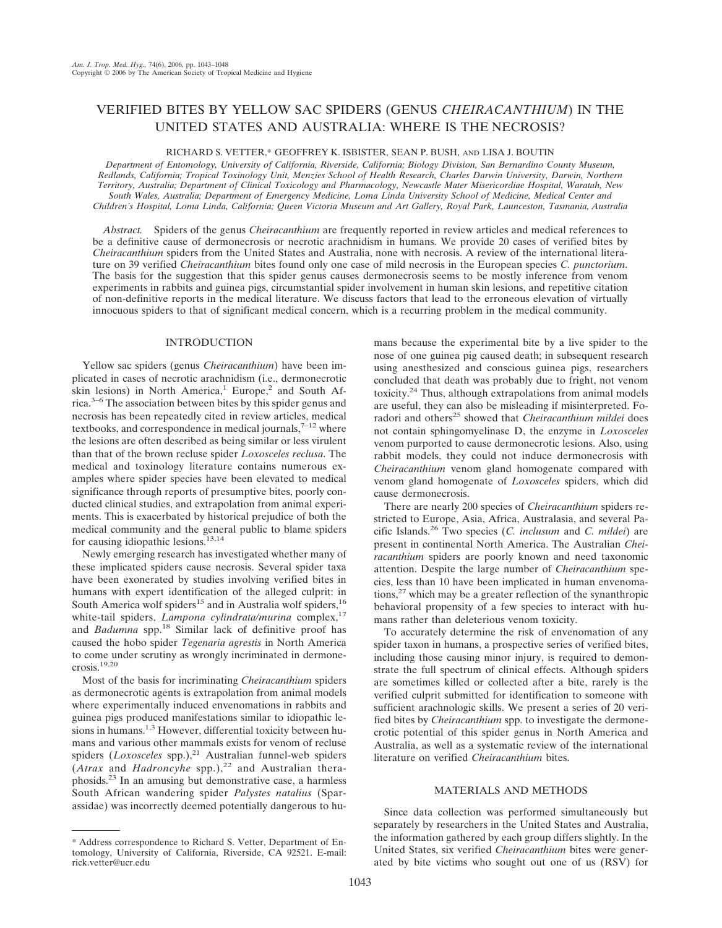# VERIFIED BITES BY YELLOW SAC SPIDERS (GENUS *CHEIRACANTHIUM*) IN THE UNITED STATES AND AUSTRALIA: WHERE IS THE NECROSIS?

RICHARD S. VETTER,\* GEOFFREY K. ISBISTER, SEAN P. BUSH, AND LISA J. BOUTIN

*Department of Entomology, University of California, Riverside, California; Biology Division, San Bernardino County Museum, Redlands, California; Tropical Toxinology Unit, Menzies School of Health Research, Charles Darwin University, Darwin, Northern Territory, Australia; Department of Clinical Toxicology and Pharmacology, Newcastle Mater Misericordiae Hospital, Waratah, New South Wales, Australia; Department of Emergency Medicine, Loma Linda University School of Medicine, Medical Center and Children's Hospital, Loma Linda, California; Queen Victoria Museum and Art Gallery, Royal Park, Launceston, Tasmania, Australia*

*Abstract.* Spiders of the genus *Cheiracanthium* are frequently reported in review articles and medical references to be a definitive cause of dermonecrosis or necrotic arachnidism in humans. We provide 20 cases of verified bites by *Cheiracanthium* spiders from the United States and Australia, none with necrosis. A review of the international literature on 39 verified *Cheiracanthium* bites found only one case of mild necrosis in the European species *C. punctorium*. The basis for the suggestion that this spider genus causes dermonecrosis seems to be mostly inference from venom experiments in rabbits and guinea pigs, circumstantial spider involvement in human skin lesions, and repetitive citation of non-definitive reports in the medical literature. We discuss factors that lead to the erroneous elevation of virtually innocuous spiders to that of significant medical concern, which is a recurring problem in the medical community.

### INTRODUCTION

Yellow sac spiders (genus *Cheiracanthium*) have been implicated in cases of necrotic arachnidism (i.e., dermonecrotic skin lesions) in North America,<sup>1</sup> Europe,<sup>2</sup> and South Africa.<sup>3–6</sup> The association between bites by this spider genus and necrosis has been repeatedly cited in review articles, medical textbooks, and correspondence in medical journals, $7-12$  where the lesions are often described as being similar or less virulent than that of the brown recluse spider *Loxosceles reclusa*. The medical and toxinology literature contains numerous examples where spider species have been elevated to medical significance through reports of presumptive bites, poorly conducted clinical studies, and extrapolation from animal experiments. This is exacerbated by historical prejudice of both the medical community and the general public to blame spiders for causing idiopathic lesions.13,14

Newly emerging research has investigated whether many of these implicated spiders cause necrosis. Several spider taxa have been exonerated by studies involving verified bites in humans with expert identification of the alleged culprit: in South America wolf spiders<sup>15</sup> and in Australia wolf spiders,<sup>16</sup> white-tail spiders, *Lampona cylindrata/murina* complex,<sup>17</sup> and *Badumna* spp.<sup>18</sup> Similar lack of definitive proof has caused the hobo spider *Tegenaria agrestis* in North America to come under scrutiny as wrongly incriminated in dermonecrosis.19,20

Most of the basis for incriminating *Cheiracanthium* spiders as dermonecrotic agents is extrapolation from animal models where experimentally induced envenomations in rabbits and guinea pigs produced manifestations similar to idiopathic lesions in humans.<sup>1,3</sup> However, differential toxicity between humans and various other mammals exists for venom of recluse spiders (*Loxosceles* spp.),<sup>21</sup> Australian funnel-web spiders  $(A$ trax and *Hadroncyhe* spp.),<sup>22</sup> and Australian theraphosids.23 In an amusing but demonstrative case, a harmless South African wandering spider *Palystes natalius* (Sparassidae) was incorrectly deemed potentially dangerous to hu-

\* Address correspondence to Richard S. Vetter, Department of Entomology, University of California, Riverside, CA 92521. E-mail: rick.vetter@ucr.edu

mans because the experimental bite by a live spider to the nose of one guinea pig caused death; in subsequent research using anesthesized and conscious guinea pigs, researchers concluded that death was probably due to fright, not venom toxicity.24 Thus, although extrapolations from animal models are useful, they can also be misleading if misinterpreted. Foradori and others<sup>25</sup> showed that *Cheiracanthium mildei* does not contain sphingomyelinase D, the enzyme in *Loxosceles* venom purported to cause dermonecrotic lesions. Also, using rabbit models, they could not induce dermonecrosis with *Cheiracanthium* venom gland homogenate compared with venom gland homogenate of *Loxosceles* spiders, which did cause dermonecrosis.

There are nearly 200 species of *Cheiracanthium* spiders restricted to Europe, Asia, Africa, Australasia, and several Pacific Islands.<sup>26</sup> Two species (*C. inclusum* and *C. mildei*) are present in continental North America. The Australian *Cheiracanthium* spiders are poorly known and need taxonomic attention. Despite the large number of *Cheiracanthium* species, less than 10 have been implicated in human envenomations,27 which may be a greater reflection of the synanthropic behavioral propensity of a few species to interact with humans rather than deleterious venom toxicity.

To accurately determine the risk of envenomation of any spider taxon in humans, a prospective series of verified bites, including those causing minor injury, is required to demonstrate the full spectrum of clinical effects. Although spiders are sometimes killed or collected after a bite, rarely is the verified culprit submitted for identification to someone with sufficient arachnologic skills. We present a series of 20 verified bites by *Cheiracanthium* spp. to investigate the dermonecrotic potential of this spider genus in North America and Australia, as well as a systematic review of the international literature on verified *Cheiracanthium* bites.

## MATERIALS AND METHODS

Since data collection was performed simultaneously but separately by researchers in the United States and Australia, the information gathered by each group differs slightly. In the United States, six verified *Cheiracanthium* bites were generated by bite victims who sought out one of us (RSV) for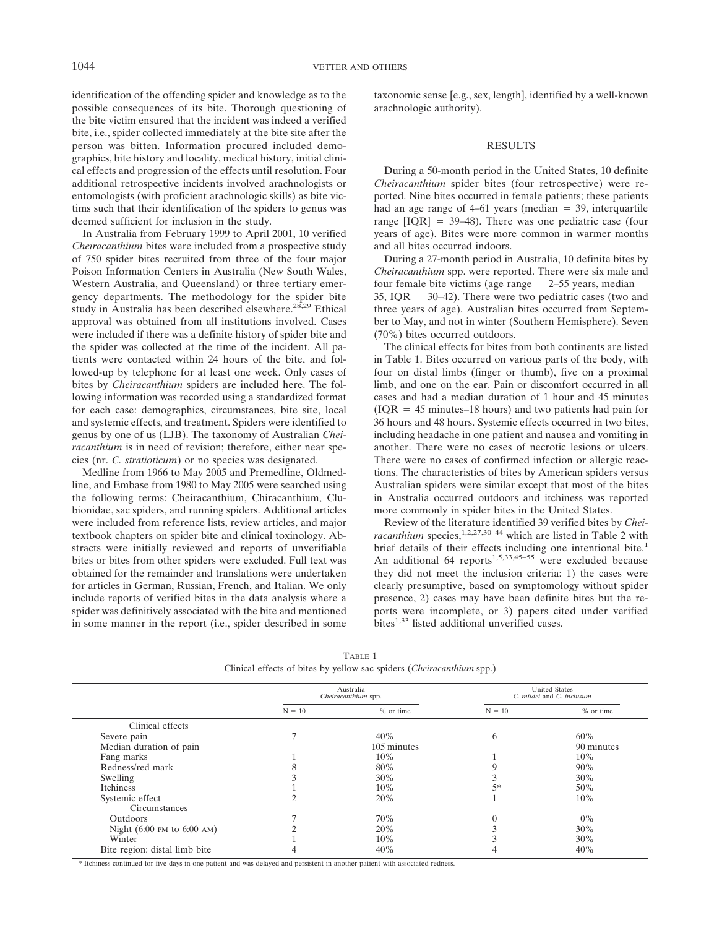identification of the offending spider and knowledge as to the possible consequences of its bite. Thorough questioning of the bite victim ensured that the incident was indeed a verified bite, i.e., spider collected immediately at the bite site after the person was bitten. Information procured included demographics, bite history and locality, medical history, initial clinical effects and progression of the effects until resolution. Four additional retrospective incidents involved arachnologists or entomologists (with proficient arachnologic skills) as bite victims such that their identification of the spiders to genus was deemed sufficient for inclusion in the study.

In Australia from February 1999 to April 2001, 10 verified *Cheiracanthium* bites were included from a prospective study of 750 spider bites recruited from three of the four major Poison Information Centers in Australia (New South Wales, Western Australia, and Queensland) or three tertiary emergency departments. The methodology for the spider bite study in Australia has been described elsewhere.<sup>28,29</sup> Ethical approval was obtained from all institutions involved. Cases were included if there was a definite history of spider bite and the spider was collected at the time of the incident. All patients were contacted within 24 hours of the bite, and followed-up by telephone for at least one week. Only cases of bites by *Cheiracanthium* spiders are included here. The following information was recorded using a standardized format for each case: demographics, circumstances, bite site, local and systemic effects, and treatment. Spiders were identified to genus by one of us (LJB). The taxonomy of Australian *Cheiracanthium* is in need of revision; therefore, either near species (nr. *C. stratioticum*) or no species was designated.

Medline from 1966 to May 2005 and Premedline, Oldmedline, and Embase from 1980 to May 2005 were searched using the following terms: Cheiracanthium, Chiracanthium, Clubionidae, sac spiders, and running spiders. Additional articles were included from reference lists, review articles, and major textbook chapters on spider bite and clinical toxinology. Abstracts were initially reviewed and reports of unverifiable bites or bites from other spiders were excluded. Full text was obtained for the remainder and translations were undertaken for articles in German, Russian, French, and Italian. We only include reports of verified bites in the data analysis where a spider was definitively associated with the bite and mentioned in some manner in the report (i.e., spider described in some

taxonomic sense [e.g., sex, length], identified by a well-known arachnologic authority).

#### RESULTS

During a 50-month period in the United States, 10 definite *Cheiracanthium* spider bites (four retrospective) were reported. Nine bites occurred in female patients; these patients had an age range of  $4-61$  years (median  $= 39$ , interquartile range  $[IOR] = 39–48$ ). There was one pediatric case (four years of age). Bites were more common in warmer months and all bites occurred indoors.

During a 27-month period in Australia, 10 definite bites by *Cheiracanthium* spp. were reported. There were six male and four female bite victims (age range  $= 2-55$  years, median  $=$ 35, IQR  $= 30-42$ ). There were two pediatric cases (two and three years of age). Australian bites occurred from September to May, and not in winter (Southern Hemisphere). Seven (70%) bites occurred outdoors.

The clinical effects for bites from both continents are listed in Table 1. Bites occurred on various parts of the body, with four on distal limbs (finger or thumb), five on a proximal limb, and one on the ear. Pain or discomfort occurred in all cases and had a median duration of 1 hour and 45 minutes  $(IOR = 45 \text{ minutes}-18 \text{ hours})$  and two patients had pain for 36 hours and 48 hours. Systemic effects occurred in two bites, including headache in one patient and nausea and vomiting in another. There were no cases of necrotic lesions or ulcers. There were no cases of confirmed infection or allergic reactions. The characteristics of bites by American spiders versus Australian spiders were similar except that most of the bites in Australia occurred outdoors and itchiness was reported more commonly in spider bites in the United States.

Review of the literature identified 39 verified bites by *Cheiracanthium* species,<sup>1,2,27,30–44</sup> which are listed in Table 2 with brief details of their effects including one intentional bite.<sup>1</sup> An additional 64 reports<sup>1,5,33,45–55</sup> were excluded because they did not meet the inclusion criteria: 1) the cases were clearly presumptive, based on symptomology without spider presence, 2) cases may have been definite bites but the reports were incomplete, or 3) papers cited under verified bites<sup>1,33</sup> listed additional unverified cases.

|                                               | Australia<br>Cheiracanthium spp. |             | <b>United States</b><br>C. mildei and C. inclusum |            |
|-----------------------------------------------|----------------------------------|-------------|---------------------------------------------------|------------|
|                                               | $N = 10$                         | % or time   | $N = 10$                                          | % or time  |
| Clinical effects                              |                                  |             |                                                   |            |
| Severe pain                                   |                                  | 40%         | 6                                                 | 60%        |
| Median duration of pain                       |                                  | 105 minutes |                                                   | 90 minutes |
| Fang marks                                    |                                  | 10%         |                                                   | 10%        |
| Redness/red mark                              |                                  | 80%         | 9                                                 | 90%        |
| Swelling                                      |                                  | 30%         |                                                   | 30%        |
| Itchiness                                     |                                  | 10%         | $5*$                                              | 50%        |
| Systemic effect                               |                                  | 20%         |                                                   | 10%        |
| Circumstances                                 |                                  |             |                                                   |            |
| <b>Outdoors</b>                               |                                  | 70%         | $\overline{0}$                                    | $0\%$      |
| Night $(6:00 \text{ PM to } 6:00 \text{ AM})$ |                                  | 20%         |                                                   | 30%        |
| Winter                                        |                                  | 10%         |                                                   | 30%        |
| Bite region: distal limb bite                 |                                  | 40%         |                                                   | 40%        |

TABLE 1 Clinical effects of bites by yellow sac spiders (*Cheiracanthium* spp.)

\* Itchiness continued for five days in one patient and was delayed and persistent in another patient with associated redness.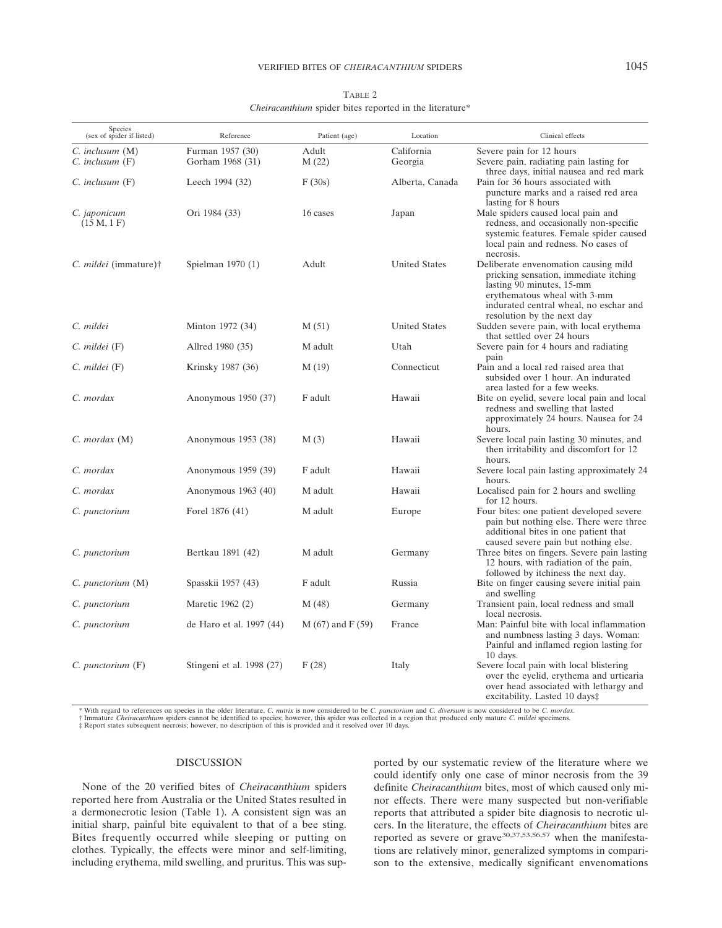| Species<br>(sex of spider if listed) | Reference                 | Patient (age)      | Location             | Clinical effects                                                                                                                                                                                                   |
|--------------------------------------|---------------------------|--------------------|----------------------|--------------------------------------------------------------------------------------------------------------------------------------------------------------------------------------------------------------------|
| $C.$ inclusum $(M)$                  | Furman 1957 (30)          | Adult              | California           | Severe pain for 12 hours                                                                                                                                                                                           |
| $C.$ inclusum $(F)$                  | Gorham 1968 (31)          | M(22)              | Georgia              | Severe pain, radiating pain lasting for<br>three days, initial nausea and red mark                                                                                                                                 |
| $C.$ inclusum $(F)$                  | Leech 1994 (32)           | F(30s)             | Alberta, Canada      | Pain for 36 hours associated with<br>puncture marks and a raised red area<br>lasting for 8 hours                                                                                                                   |
| C. japonicum<br>(15 M, 1 F)          | Ori 1984 (33)             | 16 cases           | Japan                | Male spiders caused local pain and<br>redness, and occasionally non-specific<br>systemic features. Female spider caused<br>local pain and redness. No cases of<br>necrosis.                                        |
| C. <i>mildei</i> (immature)†         | Spielman $1970(1)$        | Adult              | <b>United States</b> | Deliberate envenomation causing mild<br>pricking sensation, immediate itching<br>lasting 90 minutes, 15-mm<br>erythematous wheal with 3-mm<br>indurated central wheal, no eschar and<br>resolution by the next day |
| C. mildei                            | Minton 1972 (34)          | M(51)              | <b>United States</b> | Sudden severe pain, with local erythema<br>that settled over 24 hours                                                                                                                                              |
| $C.$ mildei $(F)$                    | Allred 1980 (35)          | M adult            | Utah                 | Severe pain for 4 hours and radiating<br>pain                                                                                                                                                                      |
| C. mildei (F)                        | Krinsky 1987 (36)         | M(19)              | Connecticut          | Pain and a local red raised area that<br>subsided over 1 hour. An indurated<br>area lasted for a few weeks.                                                                                                        |
| C. mordax                            | Anonymous 1950 (37)       | F adult            | Hawaii               | Bite on eyelid, severe local pain and local<br>redness and swelling that lasted<br>approximately 24 hours. Nausea for 24<br>hours.                                                                                 |
| C. mordax (M)                        | Anonymous 1953 (38)       | M(3)               | Hawaii               | Severe local pain lasting 30 minutes, and<br>then irritability and discomfort for 12<br>hours.                                                                                                                     |
| C. mordax                            | Anonymous 1959 (39)       | F adult            | Hawaii               | Severe local pain lasting approximately 24                                                                                                                                                                         |
| C. mordax                            | Anonymous $1963(40)$      | M adult            | Hawaii               | hours.<br>Localised pain for 2 hours and swelling<br>for 12 hours.                                                                                                                                                 |
| C. punctorium                        | Forel 1876 (41)           | M adult            | Europe               | Four bites: one patient developed severe<br>pain but nothing else. There were three<br>additional bites in one patient that<br>caused severe pain but nothing else.                                                |
| C. punctorium                        | Bertkau 1891 (42)         | M adult            | Germany              | Three bites on fingers. Severe pain lasting<br>12 hours, with radiation of the pain,<br>followed by itchiness the next day.                                                                                        |
| C. punctorium (M)                    | Spasskii 1957 (43)        | F adult            | Russia               | Bite on finger causing severe initial pain<br>and swelling                                                                                                                                                         |
| C. punctorium                        | Maretic 1962 (2)          | M(48)              | Germany              | Transient pain, local redness and small<br>local necrosis.                                                                                                                                                         |
| C. punctorium                        | de Haro et al. 1997 (44)  | $M(67)$ and F (59) | France               | Man: Painful bite with local inflammation<br>and numbness lasting 3 days. Woman:<br>Painful and inflamed region lasting for<br>$10$ days.                                                                          |
| C. punctorium (F)                    | Stingeni et al. 1998 (27) | F(28)              | Italy                | Severe local pain with local blistering<br>over the eyelid, erythema and urticaria<br>over head associated with lethargy and<br>excitability. Lasted 10 days‡                                                      |

TABLE 2 *Cheiracanthium* spider bites reported in the literature\*

\* With regard to references on species in the older literature, C. nutrix is now considered to be C. punctorium and C. diversum is now considered to be C. mordax.<br>† Immature Cheiracanthium spiders cannot be identified to s

‡ Report states subsequent necrosis; however, no description of this is provided and it resolved over 10 days.

## DISCUSSION

None of the 20 verified bites of *Cheiracanthium* spiders reported here from Australia or the United States resulted in a dermonecrotic lesion (Table 1). A consistent sign was an initial sharp, painful bite equivalent to that of a bee sting. Bites frequently occurred while sleeping or putting on clothes. Typically, the effects were minor and self-limiting, including erythema, mild swelling, and pruritus. This was sup-

ported by our systematic review of the literature where we could identify only one case of minor necrosis from the 39 definite *Cheiracanthium* bites, most of which caused only minor effects. There were many suspected but non-verifiable reports that attributed a spider bite diagnosis to necrotic ulcers. In the literature, the effects of *Cheiracanthium* bites are reported as severe or grave<sup>30,37,53,56,57</sup> when the manifestations are relatively minor, generalized symptoms in comparison to the extensive, medically significant envenomations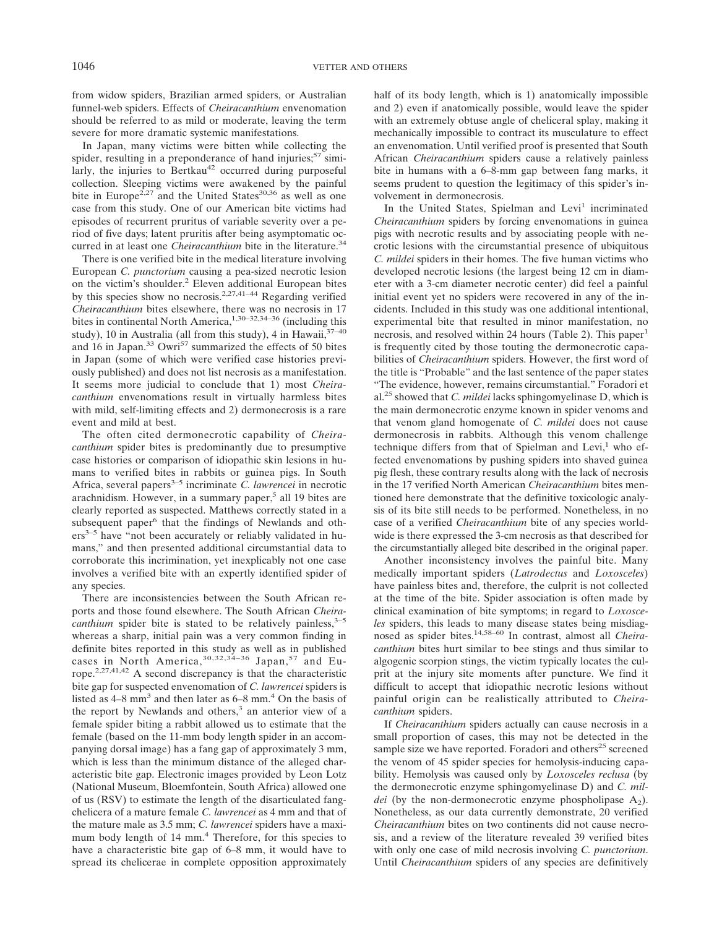from widow spiders, Brazilian armed spiders, or Australian funnel-web spiders. Effects of *Cheiracanthium* envenomation should be referred to as mild or moderate, leaving the term severe for more dramatic systemic manifestations.

In Japan, many victims were bitten while collecting the spider, resulting in a preponderance of hand injuries;  $57 \text{ simi}$ larly, the injuries to Bertkau<sup>42</sup> occurred during purposeful collection. Sleeping victims were awakened by the painful bite in Europe<sup>2,27</sup> and the United States<sup>30,36</sup> as well as one case from this study. One of our American bite victims had episodes of recurrent pruritus of variable severity over a period of five days; latent pruritis after being asymptomatic occurred in at least one *Cheiracanthium* bite in the literature.<sup>34</sup>

There is one verified bite in the medical literature involving European *C. punctorium* causing a pea-sized necrotic lesion on the victim's shoulder.<sup>2</sup> Eleven additional European bites by this species show no necrosis.<sup>2,27,41–44</sup> Regarding verified *Cheiracanthium* bites elsewhere, there was no necrosis in 17 bites in continental North America,  $1,30-32,34-36$  (including this study), 10 in Australia (all from this study), 4 in Hawaii,  $37-40$ and 16 in Japan.<sup>33</sup> Owri<sup>57</sup> summarized the effects of 50 bites in Japan (some of which were verified case histories previously published) and does not list necrosis as a manifestation. It seems more judicial to conclude that 1) most *Cheiracanthium* envenomations result in virtually harmless bites with mild, self-limiting effects and 2) dermonecrosis is a rare event and mild at best.

The often cited dermonecrotic capability of *Cheiracanthium* spider bites is predominantly due to presumptive case histories or comparison of idiopathic skin lesions in humans to verified bites in rabbits or guinea pigs. In South Africa, several papers<sup>3–5</sup> incriminate *C. lawrencei* in necrotic arachnidism. However, in a summary paper, $5$  all 19 bites are clearly reported as suspected. Matthews correctly stated in a subsequent paper<sup>6</sup> that the findings of Newlands and others<sup>3-5</sup> have "not been accurately or reliably validated in humans," and then presented additional circumstantial data to corroborate this incrimination, yet inexplicably not one case involves a verified bite with an expertly identified spider of any species.

There are inconsistencies between the South African reports and those found elsewhere. The South African *Cheiracanthium* spider bite is stated to be relatively painless,  $3-5$ whereas a sharp, initial pain was a very common finding in definite bites reported in this study as well as in published cases in North America,  $30,32,34-36$  Japan,  $57$  and Europe.2,27,41,42 A second discrepancy is that the characteristic bite gap for suspected envenomation of *C. lawrencei* spiders is listed as  $4-8$  mm<sup>3</sup> and then later as  $6-8$  mm.<sup>4</sup> On the basis of the report by Newlands and others,<sup>3</sup> an anterior view of a female spider biting a rabbit allowed us to estimate that the female (based on the 11-mm body length spider in an accompanying dorsal image) has a fang gap of approximately 3 mm, which is less than the minimum distance of the alleged characteristic bite gap. Electronic images provided by Leon Lotz (National Museum, Bloemfontein, South Africa) allowed one of us (RSV) to estimate the length of the disarticulated fangchelicera of a mature female *C. lawrencei* as 4 mm and that of the mature male as 3.5 mm; *C. lawrencei* spiders have a maximum body length of 14 mm.<sup>4</sup> Therefore, for this species to have a characteristic bite gap of 6–8 mm, it would have to spread its chelicerae in complete opposition approximately half of its body length, which is 1) anatomically impossible and 2) even if anatomically possible, would leave the spider with an extremely obtuse angle of cheliceral splay, making it mechanically impossible to contract its musculature to effect an envenomation. Until verified proof is presented that South African *Cheiracanthium* spiders cause a relatively painless bite in humans with a 6–8-mm gap between fang marks, it seems prudent to question the legitimacy of this spider's involvement in dermonecrosis.

In the United States, Spielman and Levi<sup>1</sup> incriminated *Cheiracanthium* spiders by forcing envenomations in guinea pigs with necrotic results and by associating people with necrotic lesions with the circumstantial presence of ubiquitous *C. mildei* spiders in their homes. The five human victims who developed necrotic lesions (the largest being 12 cm in diameter with a 3-cm diameter necrotic center) did feel a painful initial event yet no spiders were recovered in any of the incidents. Included in this study was one additional intentional, experimental bite that resulted in minor manifestation, no necrosis, and resolved within 24 hours (Table 2). This paper<sup>1</sup> is frequently cited by those touting the dermonecrotic capabilities of *Cheiracanthium* spiders. However, the first word of the title is "Probable" and the last sentence of the paper states "The evidence, however, remains circumstantial." Foradori et al.25 showed that *C. mildei* lacks sphingomyelinase D, which is the main dermonecrotic enzyme known in spider venoms and that venom gland homogenate of *C. mildei* does not cause dermonecrosis in rabbits. Although this venom challenge technique differs from that of Spielman and Levi, $<sup>1</sup>$  who ef-</sup> fected envenomations by pushing spiders into shaved guinea pig flesh, these contrary results along with the lack of necrosis in the 17 verified North American *Cheiracanthium* bites mentioned here demonstrate that the definitive toxicologic analysis of its bite still needs to be performed. Nonetheless, in no case of a verified *Cheiracanthium* bite of any species worldwide is there expressed the 3-cm necrosis as that described for the circumstantially alleged bite described in the original paper.

Another inconsistency involves the painful bite. Many medically important spiders (*Latrodectus* and *Loxosceles*) have painless bites and, therefore, the culprit is not collected at the time of the bite. Spider association is often made by clinical examination of bite symptoms; in regard to *Loxosceles* spiders, this leads to many disease states being misdiagnosed as spider bites.14,58–60 In contrast, almost all *Cheiracanthium* bites hurt similar to bee stings and thus similar to algogenic scorpion stings, the victim typically locates the culprit at the injury site moments after puncture. We find it difficult to accept that idiopathic necrotic lesions without painful origin can be realistically attributed to *Cheiracanthium* spiders.

If *Cheiracanthium* spiders actually can cause necrosis in a small proportion of cases, this may not be detected in the sample size we have reported. For adori and others<sup>25</sup> screened the venom of 45 spider species for hemolysis-inducing capability. Hemolysis was caused only by *Loxosceles reclusa* (by the dermonecrotic enzyme sphingomyelinase D) and *C. mildei* (by the non-dermonecrotic enzyme phospholipase  $A_2$ ). Nonetheless, as our data currently demonstrate, 20 verified *Cheiracanthium* bites on two continents did not cause necrosis, and a review of the literature revealed 39 verified bites with only one case of mild necrosis involving *C. punctorium*. Until *Cheiracanthium* spiders of any species are definitively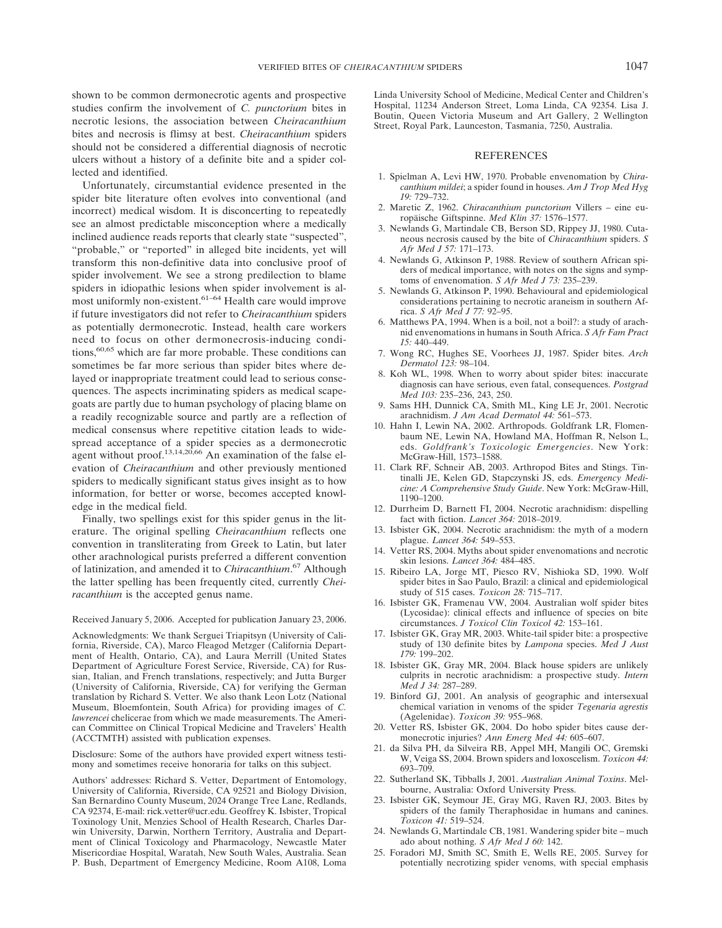shown to be common dermonecrotic agents and prospective studies confirm the involvement of *C. punctorium* bites in necrotic lesions, the association between *Cheiracanthium* bites and necrosis is flimsy at best. *Cheiracanthium* spiders should not be considered a differential diagnosis of necrotic ulcers without a history of a definite bite and a spider collected and identified.

Unfortunately, circumstantial evidence presented in the spider bite literature often evolves into conventional (and incorrect) medical wisdom. It is disconcerting to repeatedly see an almost predictable misconception where a medically inclined audience reads reports that clearly state "suspected", "probable," or "reported" in alleged bite incidents, yet will transform this non-definitive data into conclusive proof of spider involvement. We see a strong predilection to blame spiders in idiopathic lesions when spider involvement is almost uniformly non-existent.<sup>61-64</sup> Health care would improve if future investigators did not refer to *Cheiracanthium* spiders as potentially dermonecrotic. Instead, health care workers need to focus on other dermonecrosis-inducing conditions,<sup>60,65</sup> which are far more probable. These conditions can sometimes be far more serious than spider bites where delayed or inappropriate treatment could lead to serious consequences. The aspects incriminating spiders as medical scapegoats are partly due to human psychology of placing blame on a readily recognizable source and partly are a reflection of medical consensus where repetitive citation leads to widespread acceptance of a spider species as a dermonecrotic agent without proof.<sup>13,14,20,66</sup> An examination of the false elevation of *Cheiracanthium* and other previously mentioned spiders to medically significant status gives insight as to how information, for better or worse, becomes accepted knowledge in the medical field.

Finally, two spellings exist for this spider genus in the literature. The original spelling *Cheiracanthium* reflects one convention in transliterating from Greek to Latin, but later other arachnological purists preferred a different convention of latinization, and amended it to *Chiracanthium*. <sup>67</sup> Although the latter spelling has been frequently cited, currently *Cheiracanthium* is the accepted genus name.

#### Received January 5, 2006. Accepted for publication January 23, 2006.

Acknowledgments: We thank Serguei Triapitsyn (University of California, Riverside, CA), Marco Fleagod Metzger (California Department of Health, Ontario, CA), and Laura Merrill (United States Department of Agriculture Forest Service, Riverside, CA) for Russian, Italian, and French translations, respectively; and Jutta Burger (University of California, Riverside, CA) for verifying the German translation by Richard S. Vetter. We also thank Leon Lotz (National Museum, Bloemfontein, South Africa) for providing images of *C. lawrencei* chelicerae from which we made measurements. The American Committee on Clinical Tropical Medicine and Travelers' Health (ACCTMTH) assisted with publication expenses.

Disclosure: Some of the authors have provided expert witness testimony and sometimes receive honoraria for talks on this subject.

Authors' addresses: Richard S. Vetter, Department of Entomology, University of California, Riverside, CA 92521 and Biology Division, San Bernardino County Museum, 2024 Orange Tree Lane, Redlands, CA 92374, E-mail: rick.vetter@ucr.edu. Geoffrey K. Isbister, Tropical Toxinology Unit, Menzies School of Health Research, Charles Darwin University, Darwin, Northern Territory, Australia and Department of Clinical Toxicology and Pharmacology, Newcastle Mater Misericordiae Hospital, Waratah, New South Wales, Australia. Sean P. Bush, Department of Emergency Medicine, Room A108, Loma

Linda University School of Medicine, Medical Center and Children's Hospital, 11234 Anderson Street, Loma Linda, CA 92354. Lisa J. Boutin, Queen Victoria Museum and Art Gallery, 2 Wellington Street, Royal Park, Launceston, Tasmania, 7250, Australia.

## **REFERENCES**

- 1. Spielman A, Levi HW, 1970. Probable envenomation by *Chiracanthium mildei*; a spider found in houses. *Am J Trop Med Hyg 19:* 729–732.
- 2. Maretic Z, 1962. *Chiracanthium punctorium* Villers eine europäische Giftspinne. *Med Klin 37:* 1576–1577.
- 3. Newlands G, Martindale CB, Berson SD, Rippey JJ, 1980. Cutaneous necrosis caused by the bite of *Chiracanthium* spiders. *S Afr Med J 57:* 171–173.
- 4. Newlands G, Atkinson P, 1988. Review of southern African spiders of medical importance, with notes on the signs and symptoms of envenomation. *S Afr Med J 73:* 235–239.
- 5. Newlands G, Atkinson P, 1990. Behavioural and epidemiological considerations pertaining to necrotic araneism in southern Africa. *S Afr Med J 77:* 92–95.
- 6. Matthews PA, 1994. When is a boil, not a boil?: a study of arachnid envenomations in humans in South Africa. *S Afr Fam Pract 15:* 440–449.
- 7. Wong RC, Hughes SE, Voorhees JJ, 1987. Spider bites. *Arch Dermatol 123:* 98–104.
- 8. Koh WL, 1998. When to worry about spider bites: inaccurate diagnosis can have serious, even fatal, consequences. *Postgrad Med 103:* 235–236, 243, 250.
- 9. Sams HH, Dunnick CA, Smith ML, King LE Jr, 2001. Necrotic arachnidism. *J Am Acad Dermatol 44:* 561–573.
- 10. Hahn I, Lewin NA, 2002. Arthropods. Goldfrank LR, Flomenbaum NE, Lewin NA, Howland MA, Hoffman R, Nelson L, eds. *Goldfrank's Toxicologic Emergencies*. New York: McGraw-Hill, 1573–1588.
- 11. Clark RF, Schneir AB, 2003. Arthropod Bites and Stings. Tintinalli JE, Kelen GD, Stapczynski JS, eds. *Emergency Medicine: A Comprehensive Study Guide*. New York: McGraw-Hill, 1190–1200.
- 12. Durrheim D, Barnett FI, 2004. Necrotic arachnidism: dispelling fact with fiction. *Lancet 364:* 2018–2019.
- 13. Isbister GK, 2004. Necrotic arachnidism: the myth of a modern plague. *Lancet 364:* 549–553.
- 14. Vetter RS, 2004. Myths about spider envenomations and necrotic skin lesions. *Lancet 364:* 484–485.
- 15. Ribeiro LA, Jorge MT, Piesco RV, Nishioka SD, 1990. Wolf spider bites in Sao Paulo, Brazil: a clinical and epidemiological study of 515 cases. *Toxicon 28:* 715–717.
- 16. Isbister GK, Framenau VW, 2004. Australian wolf spider bites (Lycosidae): clinical effects and influence of species on bite circumstances. *J Toxicol Clin Toxicol 42:* 153–161.
- 17. Isbister GK, Gray MR, 2003. White-tail spider bite: a prospective study of 130 definite bites by *Lampona* species. *Med J Aust 179:* 199–202.
- 18. Isbister GK, Gray MR, 2004. Black house spiders are unlikely culprits in necrotic arachnidism: a prospective study. *Intern Med J 34:* 287–289.
- 19. Binford GJ, 2001. An analysis of geographic and intersexual chemical variation in venoms of the spider *Tegenaria agrestis* (Agelenidae). *Toxicon 39:* 955–968.
- 20. Vetter RS, Isbister GK, 2004. Do hobo spider bites cause dermonecrotic injuries? *Ann Emerg Med 44:* 605–607.
- 21. da Silva PH, da Silveira RB, Appel MH, Mangili OC, Gremski W, Veiga SS, 2004. Brown spiders and loxoscelism. *Toxicon 44:* 693–709.
- 22. Sutherland SK, Tibballs J, 2001. *Australian Animal Toxins*. Melbourne, Australia: Oxford University Press.
- 23. Isbister GK, Seymour JE, Gray MG, Raven RJ, 2003. Bites by spiders of the family Theraphosidae in humans and canines. *Toxicon 41:* 519–524.
- 24. Newlands G, Martindale CB, 1981. Wandering spider bite much ado about nothing. *S Afr Med J 60:* 142.
- 25. Foradori MJ, Smith SC, Smith E, Wells RE, 2005. Survey for potentially necrotizing spider venoms, with special emphasis